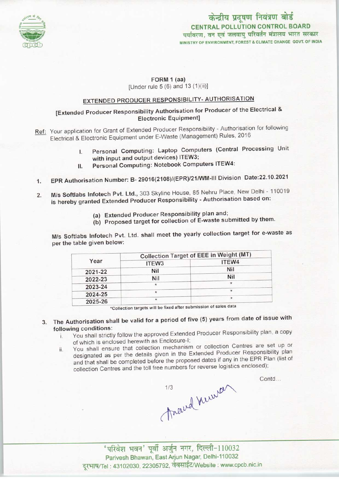

# केन्द्रीय प्रदूषण नियंत्रण बोर्ड CENTRAL POLLUTION CONTROL BOARD पर्यावरण, वन एवं जलवाय परिवर्तन मंत्रालय भारत सरकार MINISTRY OF ENVIRONMENT, FOREST & CLIMATE CHANGE GOVT. OF INDIA

#### FORM 1 (aa) [Under rule  $5(6)$  and  $13(1)(ii)$ ]

# EXTENDED PRODUCER RESPONSIBILITY- AUTHORISATION

## [Extended Producer Responsibility Authorisation for Producer of the Electrical & Electronic Equipment]

- Ref: Your application for Grant of Extended Producer Responsibility Authorisation for following Electrical & Electronic Equipment under E-Waste (Management) Rules, 2016
	- I. Personal Computing: Laptop Computers (Central Processing Unit with input and output devices) ITEW3;
	- II. Personal Computing: Notebook Computers ITEW4:
- 1.EPR Authorisation Number: B- 29016(2108)/(EPR)/21/WM-lll Division Date:22.10.2021
- 2. M/s Softlabs Infotech Pvt. Ltd., 303 Skyline House, 85 Nehru Place, New Delhi 110019 is hereby granted Extended Producer Responsibility - Authorisation based on:
	- (a)Extended Producer Responsibility plan and;
	- (b) Proposed target for collection of E-waste submitted by them.

M/s Softlabs Infotech Pvt. Ltd. shall meet the yearly collection target for e-waste as per the table given below:

| Year    | <b>Collection Target of EEE in Weight (MT)</b> |         |
|---------|------------------------------------------------|---------|
|         | ITEW3                                          | ITEW4   |
| 2021-22 | Nil                                            | Nil     |
| 2022-23 | Nil                                            | Nil     |
| 2023-24 | $\ast$                                         | $\star$ |
| 2024-25 | $\star$                                        |         |
| 2025-26 |                                                | $\star$ |

•Collection targets will be fixed after submission of sales data

3. The Authorisation shall be valid for a period of five (5) years from date of issue with following conditions:

- i. You shall strictly follow the approved Extended Producer Responsibility plan, a copy of which is enclosed herewith as Enclosure-I;
- ii. You shall ensure that collection mechanism or collection Centres are set up or designated as per the details given in the Extended Producer Responsibility plan and that shall be completed before the proposed dates if any in the EPR Plan (list of collection Centres and the toll free numbers for reverse logistics enclosed);

tracted newson

Contd...

'परिवेश भवन' पूर्वी अर्जुन नगर, दिल्ली-110032<br>Parivesh Bhawan, East Arjun Nagar, Delhi-110032 दरभाष/Tel: 43102030, 22305792, वेबसाईट/Website: www.cpcb.nic.in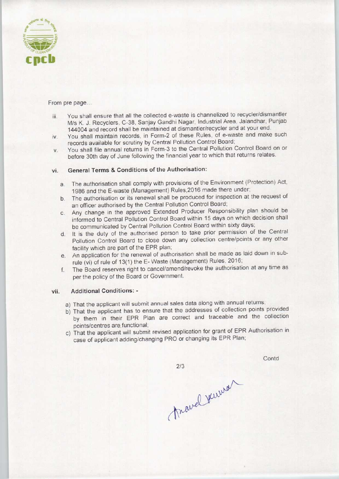

From pre page...

- iii. You shall ensure that all the collected e-waste is channelized to recycler/dismantler M/s K, J. Recyclers, C-38, Sanjay Gandhi Nagar, Industrial Area, Jalandhar, Punjab 144004 and record shall be maintained at dismantler/recycler and at your end.
- iv. You shall maintain records, in Form-2 of these Rules, of e-waste and make such records available for scrutiny by Central Pollution Control Board;
- v. You shall file annual returns in Form-3 to the Central Pollution Control Board on or before 30th day of June following the financial year to which that returns relates.

### vi. General Terms & Conditions of the Authorisation:

- a.The authorisation shall comply with provisions of the Environment (Protection) Act, 1986 and the E-waste (Management) Rules,2016 made there under;
- b.The authorisation or its renewal shall be produced for inspection at the request of an officer authorised by the Central Pollution Control Board;
- c.Any change in the approved Extended Producer Responsibility plan should be informed to Central Pollution Control Board within 15 days on which decision shall be communicated by Central Pollution Control Board within sixty days;
- d. It is the duty of the authorised person to take prior permission of the Central Pollution Control Board to close down any collection centre/points or any other facility which are part of the EPR plan;
- e.An application for the renewal of authorisation shall be made aslaid down in subrule (vi) of rule of 13(1) the E- Waste (Management) Rules, 2016;
- f.The Board reserves right to cancel/amend/revoke the authorisation at any time as per the policy of the Board or Government.

#### vii. Additional Conditions: -

- a) That the applicant will submit annual sales data along with annual returns;
- b) That the applicant has to ensure that the addresses of collection points provided by them in their EPR Plan are correct and traceable and the collection points/centres are functional;
- c) That the applicant will submit revised application for grant of EPR Authorisation in case of applicant adding/changing PRO or changing its EPR Plan;

 $2/3$ 

Contd

Anavel Kurren